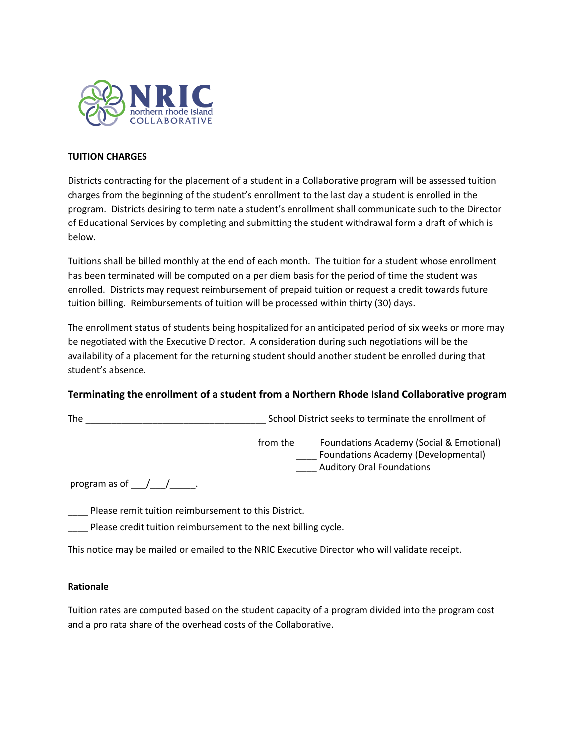

## **TUITION CHARGES**

Districts contracting for the placement of a student in a Collaborative program will be assessed tuition charges from the beginning of the student's enrollment to the last day a student is enrolled in the program. Districts desiring to terminate a student's enrollment shall communicate such to the Director of Educational Services by completing and submitting the student withdrawal form a draft of which is below.

Tuitions shall be billed monthly at the end of each month. The tuition for a student whose enrollment has been terminated will be computed on a per diem basis for the period of time the student was enrolled. Districts may request reimbursement of prepaid tuition or request a credit towards future tuition billing. Reimbursements of tuition will be processed within thirty (30) days.

The enrollment status of students being hospitalized for an anticipated period of six weeks or more may be negotiated with the Executive Director. A consideration during such negotiations will be the availability of a placement for the returning student should another student be enrolled during that student's absence.

## **Terminating the enrollment of a student from a Northern Rhode Island Collaborative program**

The \_\_\_\_\_\_\_\_\_\_\_\_\_\_\_\_\_\_\_\_\_\_\_\_\_\_\_\_\_\_\_\_\_\_\_ School District seeks to terminate the enrollment of

\_\_ from the \_\_\_\_\_ Foundations Academy (Social & Emotional) \_\_\_\_ Foundations Academy (Developmental) \_\_\_\_ Auditory Oral Foundations

program as of  $\underline{\hspace{1cm}}$ 

Please remit tuition reimbursement to this District.

\_\_\_\_ Please credit tuition reimbursement to the next billing cycle.

This notice may be mailed or emailed to the NRIC Executive Director who will validate receipt.

## **Rationale**

Tuition rates are computed based on the student capacity of a program divided into the program cost and a pro rata share of the overhead costs of the Collaborative.